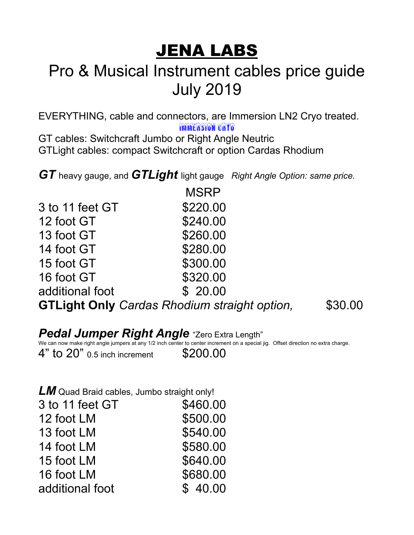# JENA LABS

## Pro & Musical Instrument cables price guide July 2019

EVERYTHING, cable and connectors, are Immersion LN2 Cryo treated.

Immersion Cryo

GT cables: Switchcraft Jumbo or Right Angle Neutric GTLight cables: compact Switchcraft or option Cardas Rhodium

*GT* heavy gauge, and *GTLight* light gauge *Right Angle Option: same price.* 

|                 | <b>MSRP</b>                                         |         |
|-----------------|-----------------------------------------------------|---------|
| 3 to 11 feet GT | \$220.00                                            |         |
| 12 foot GT      | \$240.00                                            |         |
| 13 foot GT      | \$260.00                                            |         |
| 14 foot GT      | \$280.00                                            |         |
| 15 foot GT      | \$300.00                                            |         |
| 16 foot GT      | \$320.00                                            |         |
| additional foot | \$20.00                                             |         |
|                 | <b>GTLight Only Cardas Rhodium straight option,</b> | \$30.00 |

#### *Pedal Jumper Right Angle* "Zero Extra Length"

We can now make right angle jumpers at any 1/2 inch center to center increment on a special jig. Offset direction no extra charge.

4" to 20" 0.5 inch increment \$200.00

*LM* Quad Braid cables, Jumbo straight only!

| 3 to 11 feet GT | \$460.00 |
|-----------------|----------|
| 12 foot LM      | \$500.00 |
| 13 foot LM      | \$540.00 |
| 14 foot LM      | \$580.00 |
| 15 foot LM      | \$640.00 |
| 16 foot LM      | \$680.00 |
| additional foot | \$40.00  |